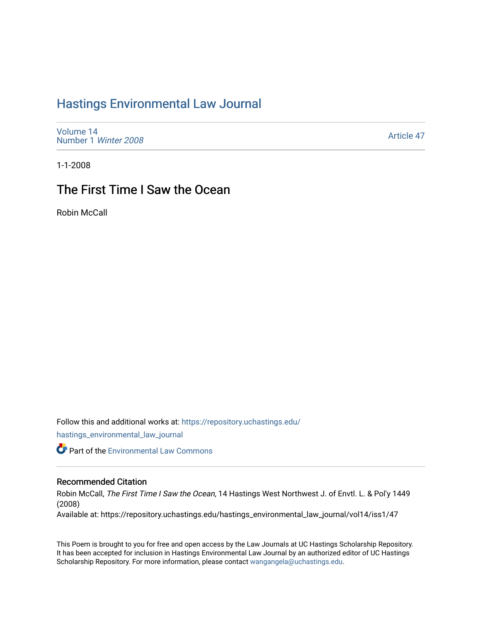## [Hastings Environmental Law Journal](https://repository.uchastings.edu/hastings_environmental_law_journal)

[Volume 14](https://repository.uchastings.edu/hastings_environmental_law_journal/vol14) [Number 1](https://repository.uchastings.edu/hastings_environmental_law_journal/vol14/iss1) Winter 2008

[Article 47](https://repository.uchastings.edu/hastings_environmental_law_journal/vol14/iss1/47) 

1-1-2008

## The First Time I Saw the Ocean

Robin McCall

Follow this and additional works at: [https://repository.uchastings.edu/](https://repository.uchastings.edu/hastings_environmental_law_journal?utm_source=repository.uchastings.edu%2Fhastings_environmental_law_journal%2Fvol14%2Fiss1%2F47&utm_medium=PDF&utm_campaign=PDFCoverPages)

[hastings\\_environmental\\_law\\_journal](https://repository.uchastings.edu/hastings_environmental_law_journal?utm_source=repository.uchastings.edu%2Fhastings_environmental_law_journal%2Fvol14%2Fiss1%2F47&utm_medium=PDF&utm_campaign=PDFCoverPages) 

**Part of the [Environmental Law Commons](http://network.bepress.com/hgg/discipline/599?utm_source=repository.uchastings.edu%2Fhastings_environmental_law_journal%2Fvol14%2Fiss1%2F47&utm_medium=PDF&utm_campaign=PDFCoverPages)** 

## Recommended Citation

Robin McCall, The First Time I Saw the Ocean, 14 Hastings West Northwest J. of Envtl. L. & Pol'y 1449 (2008)

Available at: https://repository.uchastings.edu/hastings\_environmental\_law\_journal/vol14/iss1/47

This Poem is brought to you for free and open access by the Law Journals at UC Hastings Scholarship Repository. It has been accepted for inclusion in Hastings Environmental Law Journal by an authorized editor of UC Hastings Scholarship Repository. For more information, please contact [wangangela@uchastings.edu.](mailto:wangangela@uchastings.edu)